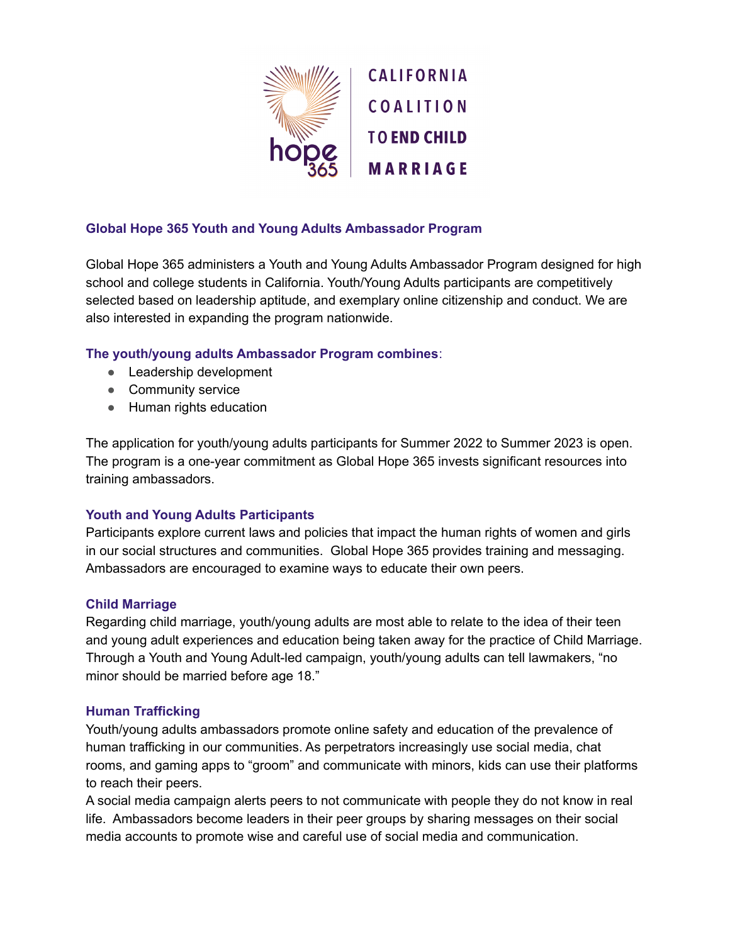

## **Global Hope 365 Youth and Young Adults Ambassador Program**

Global Hope 365 administers a Youth and Young Adults Ambassador Program designed for high school and college students in California. Youth/Young Adults participants are competitively selected based on leadership aptitude, and exemplary online citizenship and conduct. We are also interested in expanding the program nationwide.

### **The youth/young adults Ambassador Program combines**:

- Leadership development
- Community service
- Human rights education

The application for youth/young adults participants for Summer 2022 to Summer 2023 is open. The program is a one-year commitment as Global Hope 365 invests significant resources into training ambassadors.

## **Youth and Young Adults Participants**

Participants explore current laws and policies that impact the human rights of women and girls in our social structures and communities. Global Hope 365 provides training and messaging. Ambassadors are encouraged to examine ways to educate their own peers.

#### **Child Marriage**

Regarding child marriage, youth/young adults are most able to relate to the idea of their teen and young adult experiences and education being taken away for the practice of Child Marriage. Through a Youth and Young Adult-led campaign, youth/young adults can tell lawmakers, "no minor should be married before age 18."

#### **Human Trafficking**

Youth/young adults ambassadors promote online safety and education of the prevalence of human trafficking in our communities. As perpetrators increasingly use social media, chat rooms, and gaming apps to "groom" and communicate with minors, kids can use their platforms to reach their peers.

A social media campaign alerts peers to not communicate with people they do not know in real life. Ambassadors become leaders in their peer groups by sharing messages on their social media accounts to promote wise and careful use of social media and communication.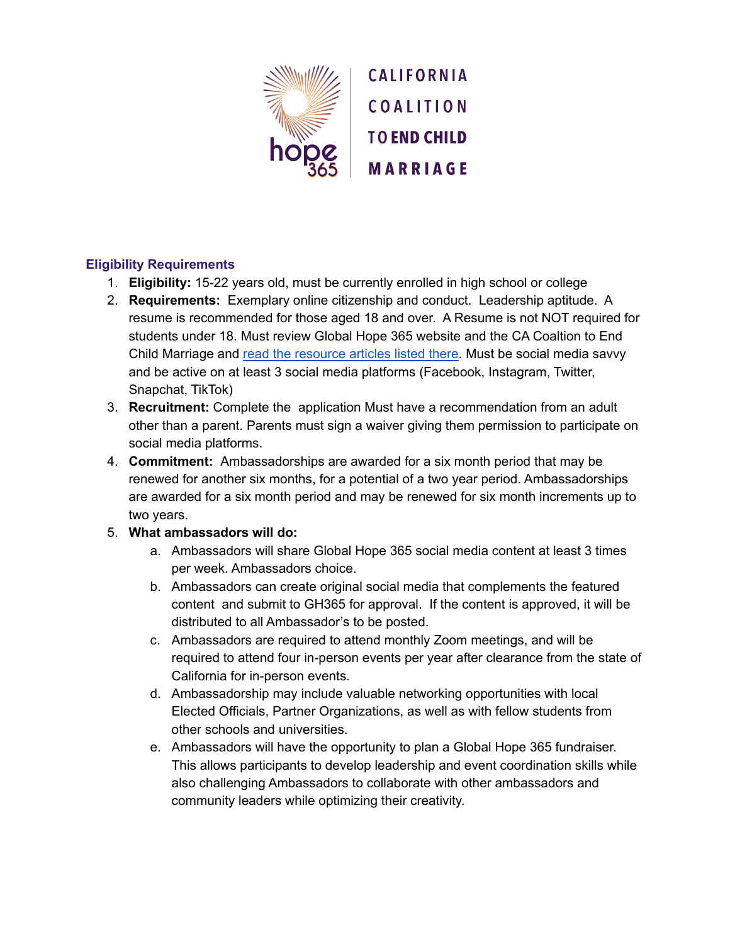

# **Eligibility Requirements**

- 1. **Eligibility:** 15-22 years old, must be currently enrolled in high school or college
- 2. **Requirements:** Exemplary online citizenship and conduct. Leadership aptitude. A resume is recommended for those aged 18 and over. A Resume is not NOT required for students under 18. Must review Global Hope 365 website and the CA Coaltion to End Child Marriage and read the [resource](https://cacoalitiontoendchildmarriage.org/resources/) articles listed there. Must be social media savvy and be active on at least 3 social media platforms (Facebook, Instagram, Twitter, Snapchat, TikTok)
- 3. **Recruitment:** Complete the application Must have a recommendation from an adult other than a parent. Parents must sign a waiver giving them permission to participate on social media platforms.
- 4. **Commitment:** Ambassadorships are awarded for a six month period that may be renewed for another six months, for a potential of a two year period. Ambassadorships are awarded for a six month period and may be renewed for six month increments up to two years.

## 5. **What ambassadors will do:**

- a. Ambassadors will share Global Hope 365 social media content at least 3 times per week. Ambassadors choice.
- b. Ambassadors can create original social media that complements the featured content and submit to GH365 for approval. If the content is approved, it will be distributed to all Ambassador's to be posted.
- c. Ambassadors are required to attend monthly Zoom meetings, and will be required to attend four in-person events per year after clearance from the state of California for in-person events.
- d. Ambassadorship may include valuable networking opportunities with local Elected Officials, Partner Organizations, as well as with fellow students from other schools and universities.
- e. Ambassadors will have the opportunity to plan a Global Hope 365 fundraiser. This allows participants to develop leadership and event coordination skills while also challenging Ambassadors to collaborate with other ambassadors and community leaders while optimizing their creativity.